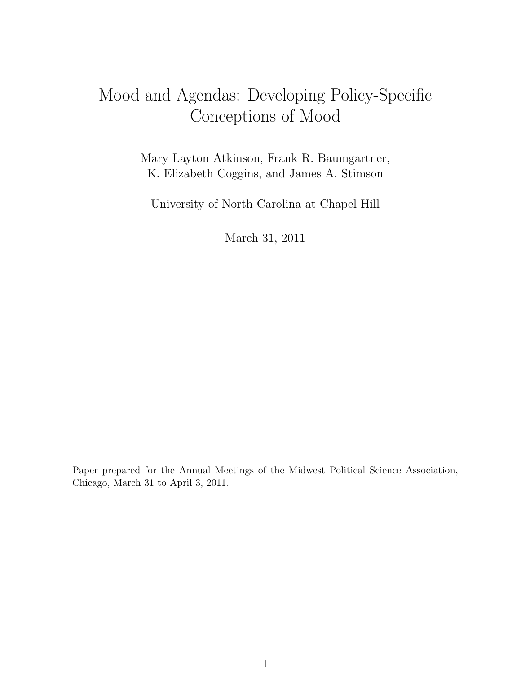# Mood and Agendas: Developing Policy-Specific Conceptions of Mood

Mary Layton Atkinson, Frank R. Baumgartner, K. Elizabeth Coggins, and James A. Stimson

University of North Carolina at Chapel Hill

March 31, 2011

Paper prepared for the Annual Meetings of the Midwest Political Science Association, Chicago, March 31 to April 3, 2011.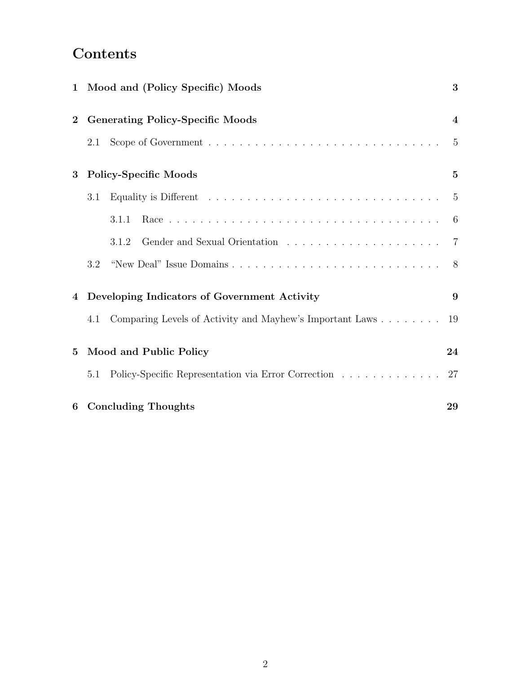## Contents

|                 | 1 Mood and (Policy Specific) Moods                              | 3                       |
|-----------------|-----------------------------------------------------------------|-------------------------|
| $\overline{2}$  | <b>Generating Policy-Specific Moods</b>                         | $\overline{\mathbf{4}}$ |
|                 | 2.1                                                             | $\overline{5}$          |
| 3               | <b>Policy-Specific Moods</b>                                    | $\mathbf{5}$            |
|                 | 3.1                                                             | $\overline{5}$          |
|                 | 3.1.1                                                           | $-6$                    |
|                 | 3.1.2                                                           | $\overline{7}$          |
|                 | 3.2                                                             | 8 <sup>8</sup>          |
|                 | 4 Developing Indicators of Government Activity                  | 9                       |
|                 | Comparing Levels of Activity and Mayhew's Important Laws<br>4.1 | 19                      |
| $5\overline{)}$ | Mood and Public Policy                                          | 24                      |
|                 | Policy-Specific Representation via Error Correction<br>5.1      | 27                      |
| 6               | <b>Concluding Thoughts</b>                                      | 29                      |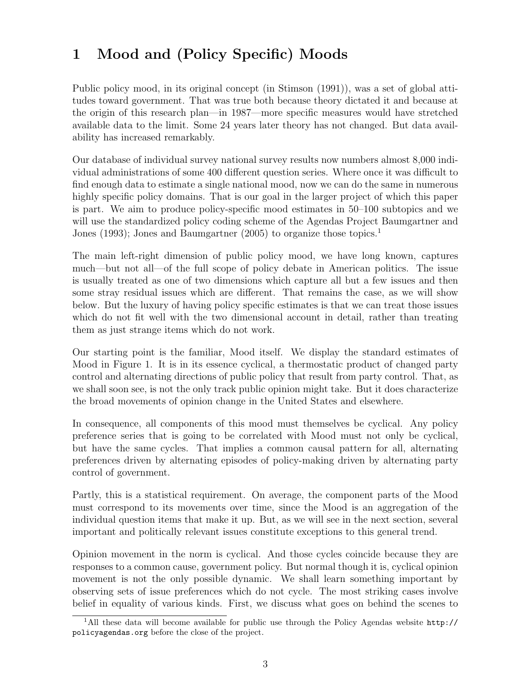## 1 Mood and (Policy Specific) Moods

Public policy mood, in its original concept (in Stimson (1991)), was a set of global attitudes toward government. That was true both because theory dictated it and because at the origin of this research plan—in 1987—more specific measures would have stretched available data to the limit. Some 24 years later theory has not changed. But data availability has increased remarkably.

Our database of individual survey national survey results now numbers almost 8,000 individual administrations of some 400 different question series. Where once it was difficult to find enough data to estimate a single national mood, now we can do the same in numerous highly specific policy domains. That is our goal in the larger project of which this paper is part. We aim to produce policy-specific mood estimates in 50–100 subtopics and we will use the standardized policy coding scheme of the Agendas Project Baumgartner and Jones (1993); Jones and Baumgartner (2005) to organize those topics.<sup>1</sup>

The main left-right dimension of public policy mood, we have long known, captures much—but not all—of the full scope of policy debate in American politics. The issue is usually treated as one of two dimensions which capture all but a few issues and then some stray residual issues which are different. That remains the case, as we will show below. But the luxury of having policy specific estimates is that we can treat those issues which do not fit well with the two dimensional account in detail, rather than treating them as just strange items which do not work.

Our starting point is the familiar, Mood itself. We display the standard estimates of Mood in Figure 1. It is in its essence cyclical, a thermostatic product of changed party control and alternating directions of public policy that result from party control. That, as we shall soon see, is not the only track public opinion might take. But it does characterize the broad movements of opinion change in the United States and elsewhere.

In consequence, all components of this mood must themselves be cyclical. Any policy preference series that is going to be correlated with Mood must not only be cyclical, but have the same cycles. That implies a common causal pattern for all, alternating preferences driven by alternating episodes of policy-making driven by alternating party control of government.

Partly, this is a statistical requirement. On average, the component parts of the Mood must correspond to its movements over time, since the Mood is an aggregation of the individual question items that make it up. But, as we will see in the next section, several important and politically relevant issues constitute exceptions to this general trend.

Opinion movement in the norm is cyclical. And those cycles coincide because they are responses to a common cause, government policy. But normal though it is, cyclical opinion movement is not the only possible dynamic. We shall learn something important by observing sets of issue preferences which do not cycle. The most striking cases involve belief in equality of various kinds. First, we discuss what goes on behind the scenes to

<sup>1</sup>All these data will become available for public use through the Policy Agendas website http:// policyagendas.org before the close of the project.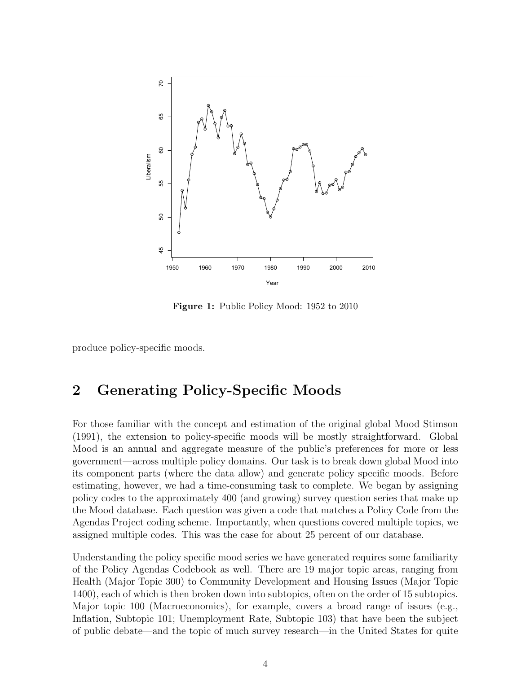

Figure 1: Public Policy Mood: 1952 to 2010

produce policy-specific moods.

## 2 Generating Policy-Specific Moods

For those familiar with the concept and estimation of the original global Mood Stimson (1991), the extension to policy-specific moods will be mostly straightforward. Global Mood is an annual and aggregate measure of the public's preferences for more or less government—across multiple policy domains. Our task is to break down global Mood into its component parts (where the data allow) and generate policy specific moods. Before estimating, however, we had a time-consuming task to complete. We began by assigning policy codes to the approximately 400 (and growing) survey question series that make up the Mood database. Each question was given a code that matches a Policy Code from the Agendas Project coding scheme. Importantly, when questions covered multiple topics, we assigned multiple codes. This was the case for about 25 percent of our database.

Understanding the policy specific mood series we have generated requires some familiarity of the Policy Agendas Codebook as well. There are 19 major topic areas, ranging from Health (Major Topic 300) to Community Development and Housing Issues (Major Topic 1400), each of which is then broken down into subtopics, often on the order of 15 subtopics. Major topic 100 (Macroeconomics), for example, covers a broad range of issues (e.g., Inflation, Subtopic 101; Unemployment Rate, Subtopic 103) that have been the subject of public debate—and the topic of much survey research—in the United States for quite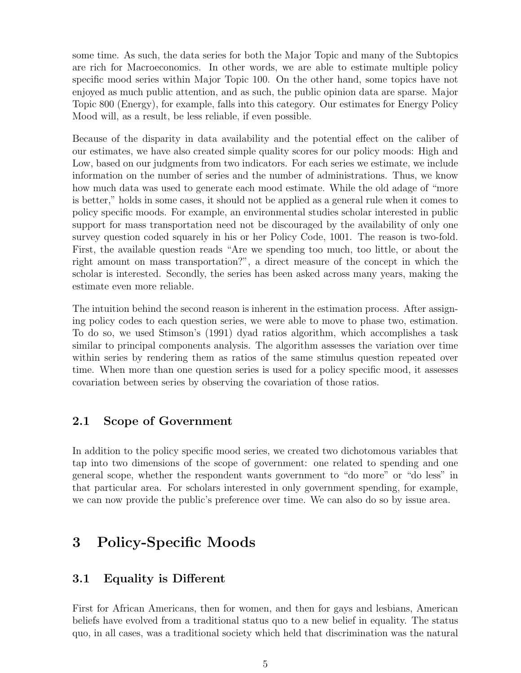some time. As such, the data series for both the Major Topic and many of the Subtopics are rich for Macroeconomics. In other words, we are able to estimate multiple policy specific mood series within Major Topic 100. On the other hand, some topics have not enjoyed as much public attention, and as such, the public opinion data are sparse. Major Topic 800 (Energy), for example, falls into this category. Our estimates for Energy Policy Mood will, as a result, be less reliable, if even possible.

Because of the disparity in data availability and the potential effect on the caliber of our estimates, we have also created simple quality scores for our policy moods: High and Low, based on our judgments from two indicators. For each series we estimate, we include information on the number of series and the number of administrations. Thus, we know how much data was used to generate each mood estimate. While the old adage of "more is better," holds in some cases, it should not be applied as a general rule when it comes to policy specific moods. For example, an environmental studies scholar interested in public support for mass transportation need not be discouraged by the availability of only one survey question coded squarely in his or her Policy Code, 1001. The reason is two-fold. First, the available question reads "Are we spending too much, too little, or about the right amount on mass transportation?", a direct measure of the concept in which the scholar is interested. Secondly, the series has been asked across many years, making the estimate even more reliable.

The intuition behind the second reason is inherent in the estimation process. After assigning policy codes to each question series, we were able to move to phase two, estimation. To do so, we used Stimson's (1991) dyad ratios algorithm, which accomplishes a task similar to principal components analysis. The algorithm assesses the variation over time within series by rendering them as ratios of the same stimulus question repeated over time. When more than one question series is used for a policy specific mood, it assesses covariation between series by observing the covariation of those ratios.

#### 2.1 Scope of Government

In addition to the policy specific mood series, we created two dichotomous variables that tap into two dimensions of the scope of government: one related to spending and one general scope, whether the respondent wants government to "do more" or "do less" in that particular area. For scholars interested in only government spending, for example, we can now provide the public's preference over time. We can also do so by issue area.

## 3 Policy-Specific Moods

#### 3.1 Equality is Different

First for African Americans, then for women, and then for gays and lesbians, American beliefs have evolved from a traditional status quo to a new belief in equality. The status quo, in all cases, was a traditional society which held that discrimination was the natural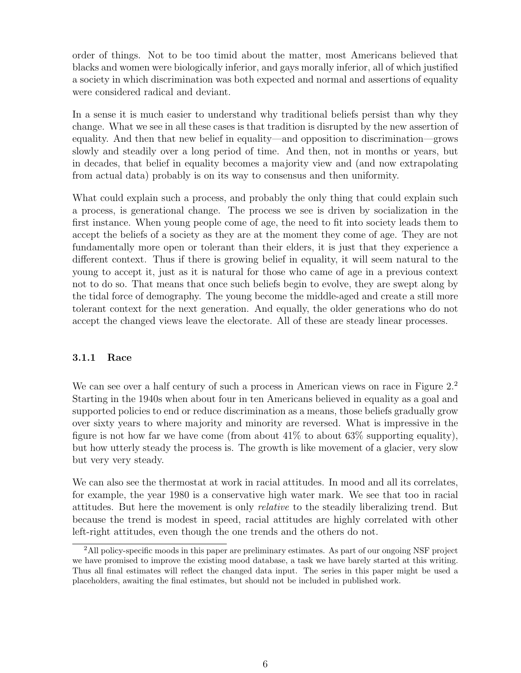order of things. Not to be too timid about the matter, most Americans believed that blacks and women were biologically inferior, and gays morally inferior, all of which justified a society in which discrimination was both expected and normal and assertions of equality were considered radical and deviant.

In a sense it is much easier to understand why traditional beliefs persist than why they change. What we see in all these cases is that tradition is disrupted by the new assertion of equality. And then that new belief in equality—and opposition to discrimination—grows slowly and steadily over a long period of time. And then, not in months or years, but in decades, that belief in equality becomes a majority view and (and now extrapolating from actual data) probably is on its way to consensus and then uniformity.

What could explain such a process, and probably the only thing that could explain such a process, is generational change. The process we see is driven by socialization in the first instance. When young people come of age, the need to fit into society leads them to accept the beliefs of a society as they are at the moment they come of age. They are not fundamentally more open or tolerant than their elders, it is just that they experience a different context. Thus if there is growing belief in equality, it will seem natural to the young to accept it, just as it is natural for those who came of age in a previous context not to do so. That means that once such beliefs begin to evolve, they are swept along by the tidal force of demography. The young become the middle-aged and create a still more tolerant context for the next generation. And equally, the older generations who do not accept the changed views leave the electorate. All of these are steady linear processes.

#### 3.1.1 Race

We can see over a half century of such a process in American views on race in Figure  $2.2$ Starting in the 1940s when about four in ten Americans believed in equality as a goal and supported policies to end or reduce discrimination as a means, those beliefs gradually grow over sixty years to where majority and minority are reversed. What is impressive in the figure is not how far we have come (from about  $41\%$  to about  $63\%$  supporting equality), but how utterly steady the process is. The growth is like movement of a glacier, very slow but very very steady.

We can also see the thermostat at work in racial attitudes. In mood and all its correlates, for example, the year 1980 is a conservative high water mark. We see that too in racial attitudes. But here the movement is only relative to the steadily liberalizing trend. But because the trend is modest in speed, racial attitudes are highly correlated with other left-right attitudes, even though the one trends and the others do not.

<sup>2</sup>All policy-specific moods in this paper are preliminary estimates. As part of our ongoing NSF project we have promised to improve the existing mood database, a task we have barely started at this writing. Thus all final estimates will reflect the changed data input. The series in this paper might be used a placeholders, awaiting the final estimates, but should not be included in published work.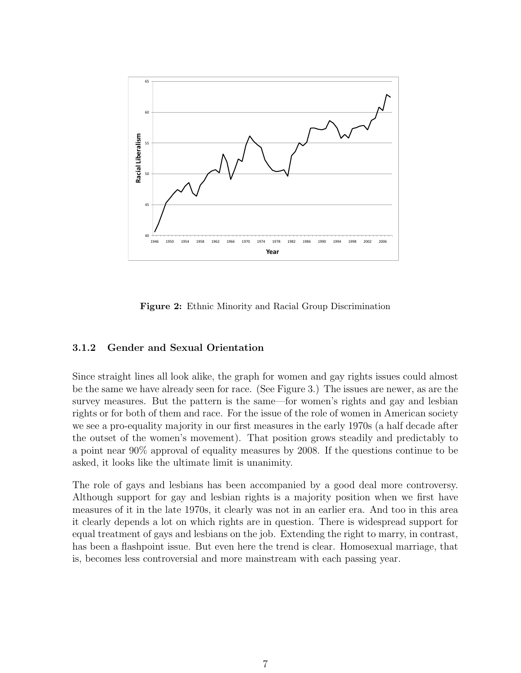

Figure 2: Ethnic Minority and Racial Group Discrimination

#### 3.1.2 Gender and Sexual Orientation

Since straight lines all look alike, the graph for women and gay rights issues could almost be the same we have already seen for race. (See Figure 3.) The issues are newer, as are the survey measures. But the pattern is the same—for women's rights and gay and lesbian rights or for both of them and race. For the issue of the role of women in American society we see a pro-equality majority in our first measures in the early 1970s (a half decade after the outset of the women's movement). That position grows steadily and predictably to a point near 90% approval of equality measures by 2008. If the questions continue to be asked, it looks like the ultimate limit is unanimity.

The role of gays and lesbians has been accompanied by a good deal more controversy. Although support for gay and lesbian rights is a majority position when we first have measures of it in the late 1970s, it clearly was not in an earlier era. And too in this area it clearly depends a lot on which rights are in question. There is widespread support for equal treatment of gays and lesbians on the job. Extending the right to marry, in contrast, has been a flashpoint issue. But even here the trend is clear. Homosexual marriage, that is, becomes less controversial and more mainstream with each passing year.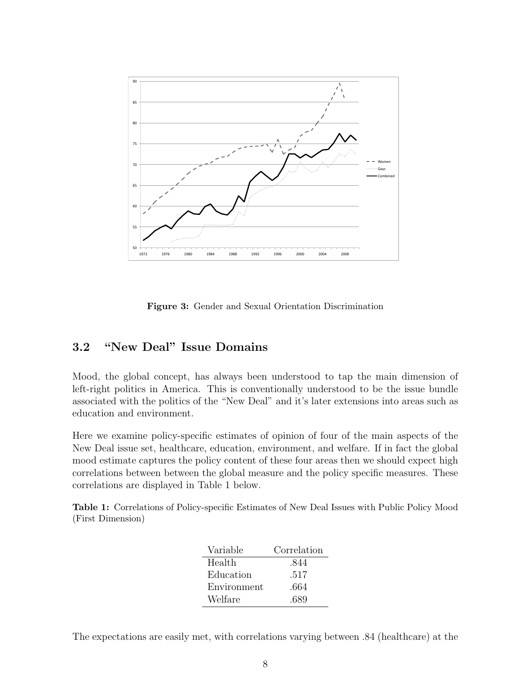

Figure 3: Gender and Sexual Orientation Discrimination

#### 3.2 "New Deal" Issue Domains

Mood, the global concept, has always been understood to tap the main dimension of left-right politics in America. This is conventionally understood to be the issue bundle associated with the politics of the "New Deal" and it's later extensions into areas such as education and environment.

Here we examine policy-specific estimates of opinion of four of the main aspects of the New Deal issue set, healthcare, education, environment, and welfare. If in fact the global mood estimate captures the policy content of these four areas then we should expect high correlations between between the global measure and the policy specific measures. These correlations are displayed in Table 1 below.

Table 1: Correlations of Policy-specific Estimates of New Deal Issues with Public Policy Mood (First Dimension)

| Variable    | Correlation |
|-------------|-------------|
| Health      | .844        |
| Education   | .517        |
| Environment | .664        |
| Welfare     | .689        |

The expectations are easily met, with correlations varying between .84 (healthcare) at the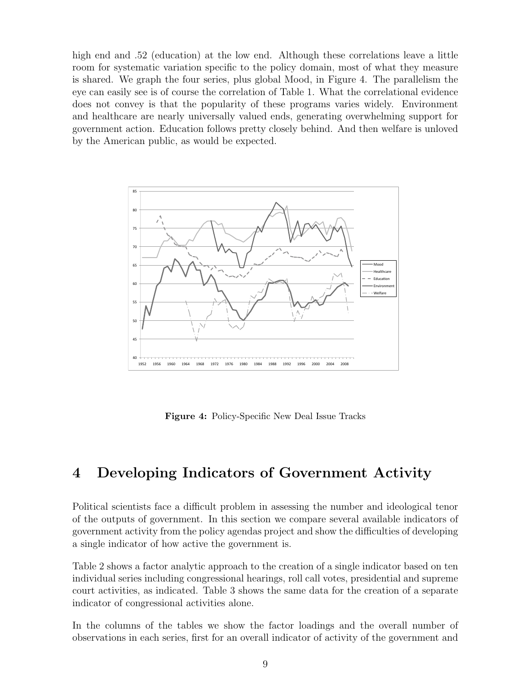high end and .52 (education) at the low end. Although these correlations leave a little room for systematic variation specific to the policy domain, most of what they measure is shared. We graph the four series, plus global Mood, in Figure 4. The parallelism the eye can easily see is of course the correlation of Table 1. What the correlational evidence does not convey is that the popularity of these programs varies widely. Environment and healthcare are nearly universally valued ends, generating overwhelming support for government action. Education follows pretty closely behind. And then welfare is unloved by the American public, as would be expected.



Figure 4: Policy-Specific New Deal Issue Tracks

## 4 Developing Indicators of Government Activity

Political scientists face a difficult problem in assessing the number and ideological tenor of the outputs of government. In this section we compare several available indicators of government activity from the policy agendas project and show the difficulties of developing a single indicator of how active the government is.

Table 2 shows a factor analytic approach to the creation of a single indicator based on ten individual series including congressional hearings, roll call votes, presidential and supreme court activities, as indicated. Table 3 shows the same data for the creation of a separate indicator of congressional activities alone.

In the columns of the tables we show the factor loadings and the overall number of observations in each series, first for an overall indicator of activity of the government and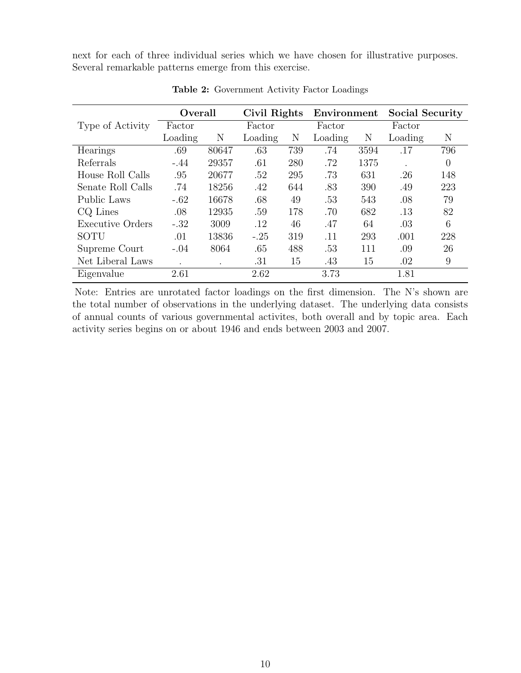next for each of three individual series which we have chosen for illustrative purposes. Several remarkable patterns emerge from this exercise.

|                         | Overall |           | Civil Rights |     | Environment |      | <b>Social Security</b> |     |
|-------------------------|---------|-----------|--------------|-----|-------------|------|------------------------|-----|
| Type of Activity        | Factor  |           | Factor       |     | Factor      |      | Factor                 |     |
|                         | Loading | Ν         | Loading      | Ν   | Loading     | Ν    | Loading                | Ν   |
| Hearings                | .69     | 80647     | .63          | 739 | .74         | 3594 | .17                    | 796 |
| Referrals               | $-.44$  | 29357     | .61          | 280 | .72         | 1375 |                        | 0   |
| House Roll Calls        | .95     | 20677     | .52          | 295 | .73         | 631  | .26                    | 148 |
| Senate Roll Calls       | .74     | 18256     | .42          | 644 | .83         | 390  | .49                    | 223 |
| Public Laws             | $-.62$  | 16678     | .68          | 49  | .53         | 543  | .08                    | 79  |
| CQ Lines                | .08     | 12935     | .59          | 178 | .70         | 682  | .13                    | 82  |
| <b>Executive Orders</b> | $-.32$  | 3009      | .12          | 46  | .47         | 64   | .03                    | 6   |
| SOTU                    | .01     | 13836     | $-.25$       | 319 | .11         | 293  | .001                   | 228 |
| Supreme Court           | $-.04$  | 8064      | .65          | 488 | .53         | 111  | .09                    | 26  |
| Net Liberal Laws        | $\cdot$ | $\bullet$ | .31          | 15  | .43         | 15   | .02                    | 9   |
| Eigenvalue              | 2.61    |           | 2.62         |     | 3.73        |      | 1.81                   |     |

Table 2: Government Activity Factor Loadings

Note: Entries are unrotated factor loadings on the first dimension. The N's shown are the total number of observations in the underlying dataset. The underlying data consists of annual counts of various governmental activites, both overall and by topic area. Each activity series begins on or about 1946 and ends between 2003 and 2007.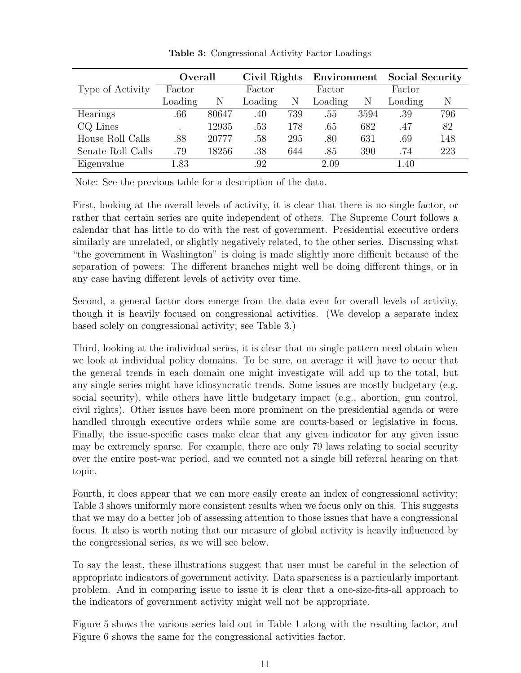|                   | Overall |       | Civil Rights |     | Environment |      | <b>Social Security</b> |     |
|-------------------|---------|-------|--------------|-----|-------------|------|------------------------|-----|
| Type of Activity  | Factor  |       | Factor       |     | Factor      |      | Factor                 |     |
|                   | Loading | N     | Loading      | Ν   | Loading     | Ν    | Loading                | Ν   |
| Hearings          | .66     | 80647 | .40          | 739 | .55         | 3594 | .39                    | 796 |
| CQ Lines          | $\cdot$ | 12935 | .53          | 178 | .65         | 682  | .47                    | 82  |
| House Roll Calls  | .88     | 20777 | .58          | 295 | .80         | 631  | .69                    | 148 |
| Senate Roll Calls | .79     | 18256 | .38          | 644 | .85         | 390  | .74                    | 223 |
| Eigenvalue        | 1.83    |       | .92          |     | 2.09        |      | 1.40                   |     |

Table 3: Congressional Activity Factor Loadings

Note: See the previous table for a description of the data.

First, looking at the overall levels of activity, it is clear that there is no single factor, or rather that certain series are quite independent of others. The Supreme Court follows a calendar that has little to do with the rest of government. Presidential executive orders similarly are unrelated, or slightly negatively related, to the other series. Discussing what "the government in Washington" is doing is made slightly more difficult because of the separation of powers: The different branches might well be doing different things, or in any case having different levels of activity over time.

Second, a general factor does emerge from the data even for overall levels of activity, though it is heavily focused on congressional activities. (We develop a separate index based solely on congressional activity; see Table 3.)

Third, looking at the individual series, it is clear that no single pattern need obtain when we look at individual policy domains. To be sure, on average it will have to occur that the general trends in each domain one might investigate will add up to the total, but any single series might have idiosyncratic trends. Some issues are mostly budgetary (e.g. social security), while others have little budgetary impact (e.g., abortion, gun control, civil rights). Other issues have been more prominent on the presidential agenda or were handled through executive orders while some are courts-based or legislative in focus. Finally, the issue-specific cases make clear that any given indicator for any given issue may be extremely sparse. For example, there are only 79 laws relating to social security over the entire post-war period, and we counted not a single bill referral hearing on that topic.

Fourth, it does appear that we can more easily create an index of congressional activity; Table 3 shows uniformly more consistent results when we focus only on this. This suggests that we may do a better job of assessing attention to those issues that have a congressional focus. It also is worth noting that our measure of global activity is heavily influenced by the congressional series, as we will see below.

To say the least, these illustrations suggest that user must be careful in the selection of appropriate indicators of government activity. Data sparseness is a particularly important problem. And in comparing issue to issue it is clear that a one-size-fits-all approach to the indicators of government activity might well not be appropriate.

Figure 5 shows the various series laid out in Table 1 along with the resulting factor, and Figure 6 shows the same for the congressional activities factor.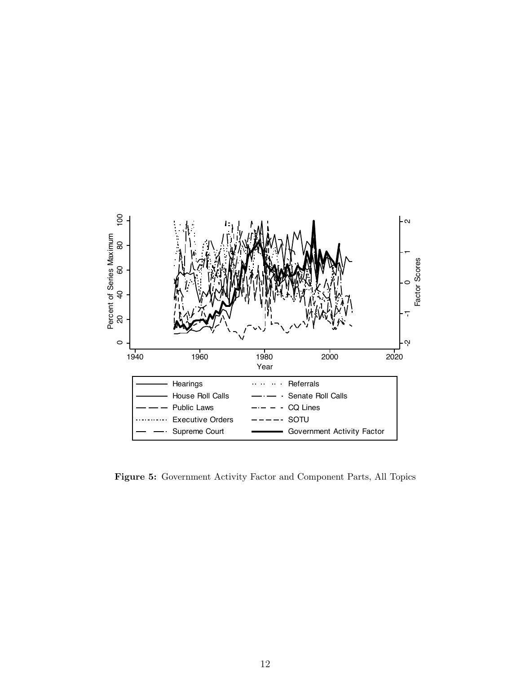

Figure 5: Government Activity Factor and Component Parts, All Topics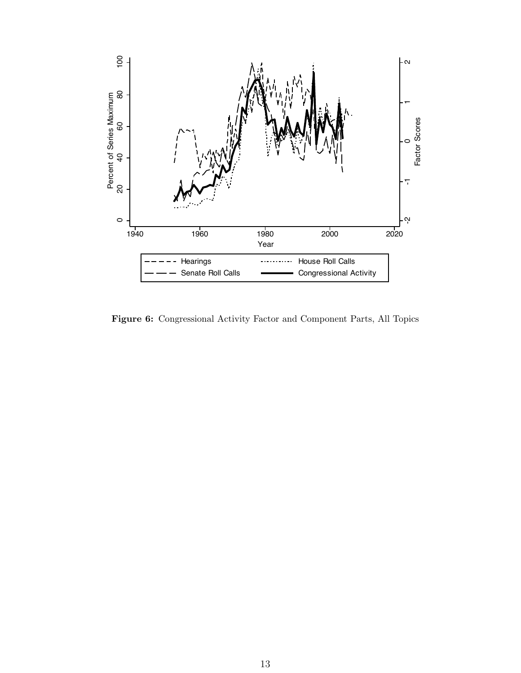

Figure 6: Congressional Activity Factor and Component Parts, All Topics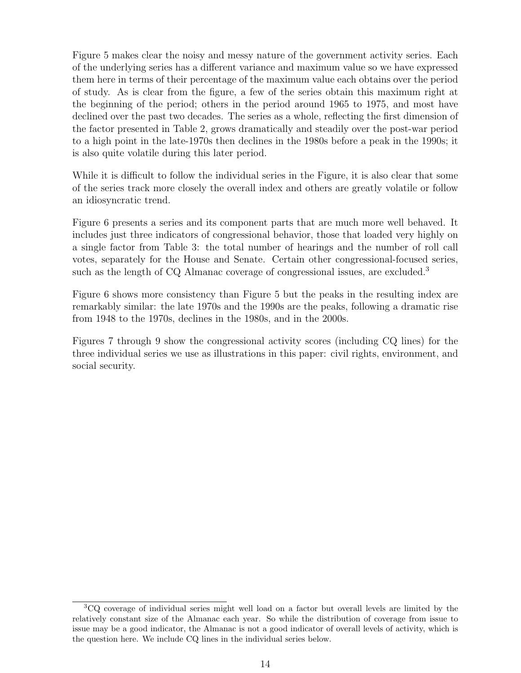Figure 5 makes clear the noisy and messy nature of the government activity series. Each of the underlying series has a different variance and maximum value so we have expressed them here in terms of their percentage of the maximum value each obtains over the period of study. As is clear from the figure, a few of the series obtain this maximum right at the beginning of the period; others in the period around 1965 to 1975, and most have declined over the past two decades. The series as a whole, reflecting the first dimension of the factor presented in Table 2, grows dramatically and steadily over the post-war period to a high point in the late-1970s then declines in the 1980s before a peak in the 1990s; it is also quite volatile during this later period.

While it is difficult to follow the individual series in the Figure, it is also clear that some of the series track more closely the overall index and others are greatly volatile or follow an idiosyncratic trend.

Figure 6 presents a series and its component parts that are much more well behaved. It includes just three indicators of congressional behavior, those that loaded very highly on a single factor from Table 3: the total number of hearings and the number of roll call votes, separately for the House and Senate. Certain other congressional-focused series, such as the length of CQ Almanac coverage of congressional issues, are excluded.<sup>3</sup>

Figure 6 shows more consistency than Figure 5 but the peaks in the resulting index are remarkably similar: the late 1970s and the 1990s are the peaks, following a dramatic rise from 1948 to the 1970s, declines in the 1980s, and in the 2000s.

Figures 7 through 9 show the congressional activity scores (including CQ lines) for the three individual series we use as illustrations in this paper: civil rights, environment, and social security.

<sup>3</sup>CQ coverage of individual series might well load on a factor but overall levels are limited by the relatively constant size of the Almanac each year. So while the distribution of coverage from issue to issue may be a good indicator, the Almanac is not a good indicator of overall levels of activity, which is the question here. We include CQ lines in the individual series below.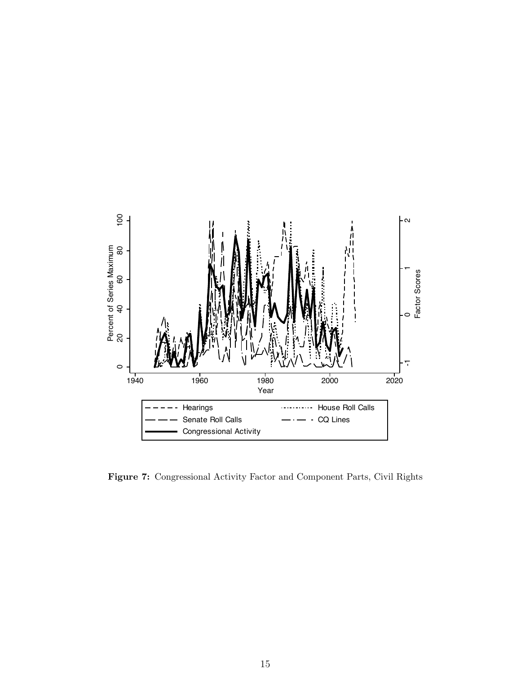

Figure 7: Congressional Activity Factor and Component Parts, Civil Rights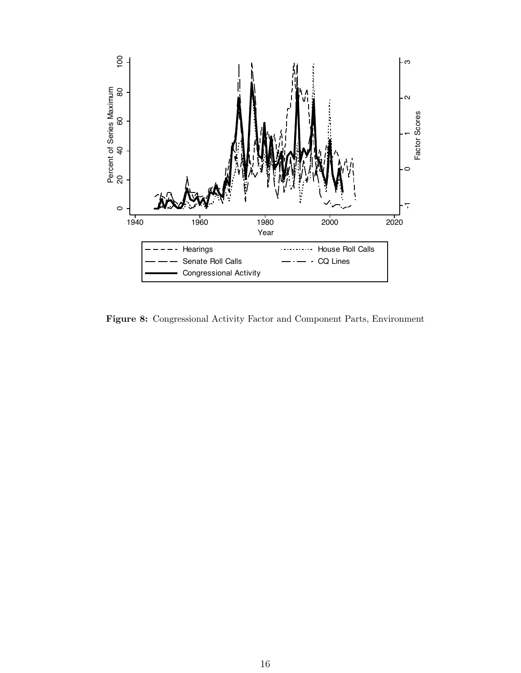

Figure 8: Congressional Activity Factor and Component Parts, Environment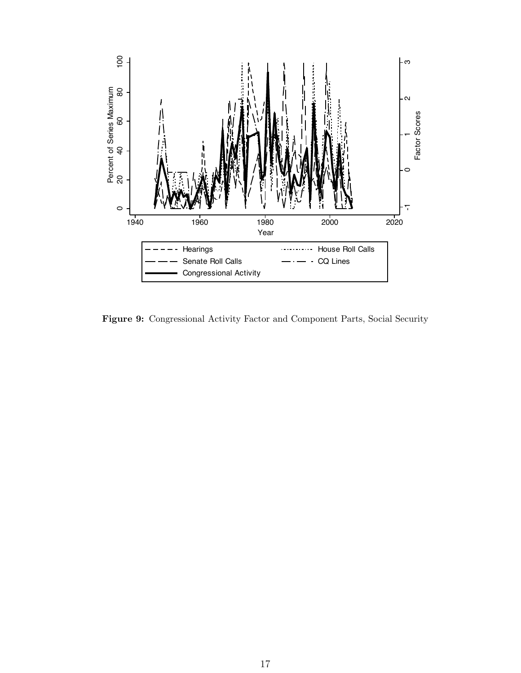

Figure 9: Congressional Activity Factor and Component Parts, Social Security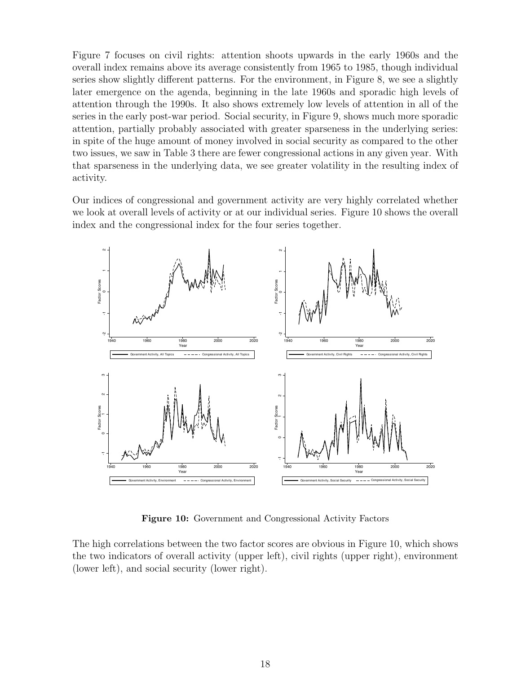Figure 7 focuses on civil rights: attention shoots upwards in the early 1960s and the overall index remains above its average consistently from 1965 to 1985, though individual series show slightly different patterns. For the environment, in Figure 8, we see a slightly later emergence on the agenda, beginning in the late 1960s and sporadic high levels of attention through the 1990s. It also shows extremely low levels of attention in all of the series in the early post-war period. Social security, in Figure 9, shows much more sporadic attention, partially probably associated with greater sparseness in the underlying series: in spite of the huge amount of money involved in social security as compared to the other two issues, we saw in Table 3 there are fewer congressional actions in any given year. With that sparseness in the underlying data, we see greater volatility in the resulting index of activity.

Our indices of congressional and government activity are very highly correlated whether we look at overall levels of activity or at our individual series. Figure 10 shows the overall index and the congressional index for the four series together.



Figure 10: Government and Congressional Activity Factors

The high correlations between the two factor scores are obvious in Figure 10, which shows the two indicators of overall activity (upper left), civil rights (upper right), environment (lower left), and social security (lower right).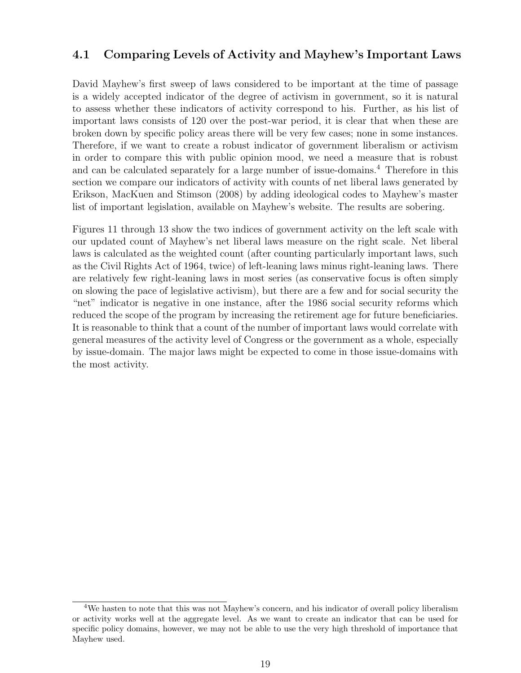#### 4.1 Comparing Levels of Activity and Mayhew's Important Laws

David Mayhew's first sweep of laws considered to be important at the time of passage is a widely accepted indicator of the degree of activism in government, so it is natural to assess whether these indicators of activity correspond to his. Further, as his list of important laws consists of 120 over the post-war period, it is clear that when these are broken down by specific policy areas there will be very few cases; none in some instances. Therefore, if we want to create a robust indicator of government liberalism or activism in order to compare this with public opinion mood, we need a measure that is robust and can be calculated separately for a large number of issue-domains.<sup>4</sup> Therefore in this section we compare our indicators of activity with counts of net liberal laws generated by Erikson, MacKuen and Stimson (2008) by adding ideological codes to Mayhew's master list of important legislation, available on Mayhew's website. The results are sobering.

Figures 11 through 13 show the two indices of government activity on the left scale with our updated count of Mayhew's net liberal laws measure on the right scale. Net liberal laws is calculated as the weighted count (after counting particularly important laws, such as the Civil Rights Act of 1964, twice) of left-leaning laws minus right-leaning laws. There are relatively few right-leaning laws in most series (as conservative focus is often simply on slowing the pace of legislative activism), but there are a few and for social security the "net" indicator is negative in one instance, after the 1986 social security reforms which reduced the scope of the program by increasing the retirement age for future beneficiaries. It is reasonable to think that a count of the number of important laws would correlate with general measures of the activity level of Congress or the government as a whole, especially by issue-domain. The major laws might be expected to come in those issue-domains with the most activity.

<sup>4</sup>We hasten to note that this was not Mayhew's concern, and his indicator of overall policy liberalism or activity works well at the aggregate level. As we want to create an indicator that can be used for specific policy domains, however, we may not be able to use the very high threshold of importance that Mayhew used.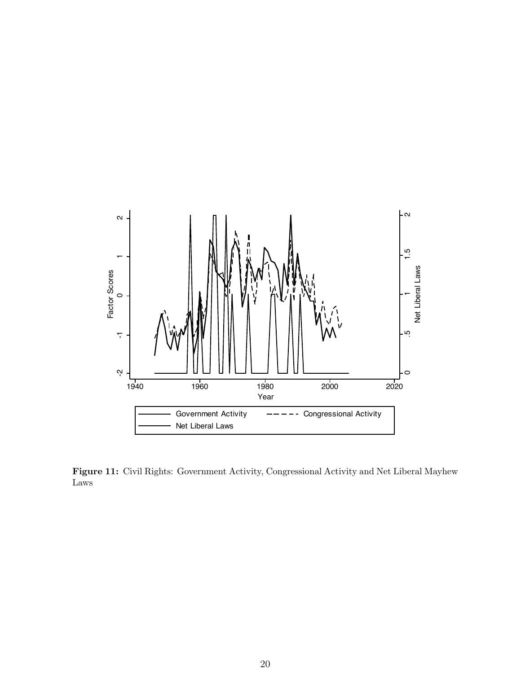

Figure 11: Civil Rights: Government Activity, Congressional Activity and Net Liberal Mayhew Laws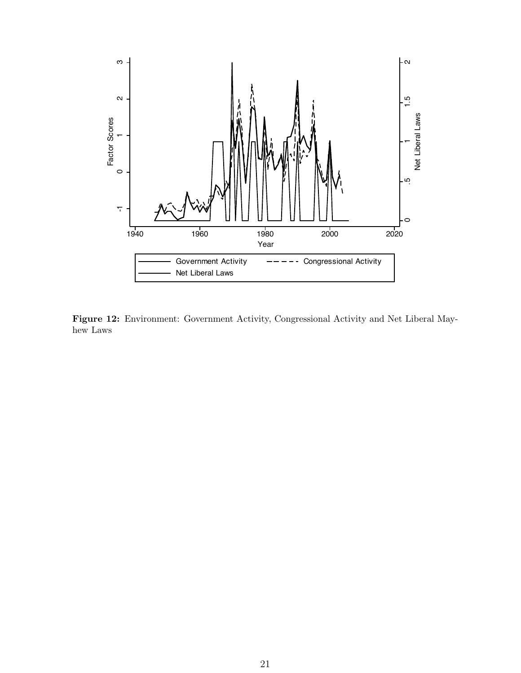

Figure 12: Environment: Government Activity, Congressional Activity and Net Liberal Mayhew Laws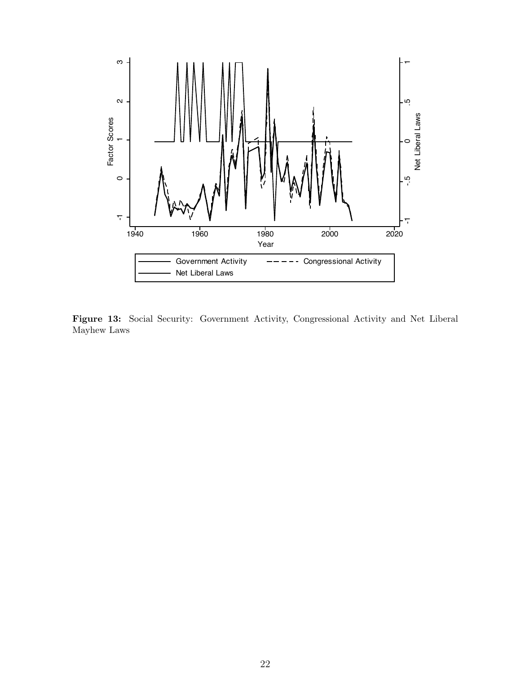

Figure 13: Social Security: Government Activity, Congressional Activity and Net Liberal Mayhew Laws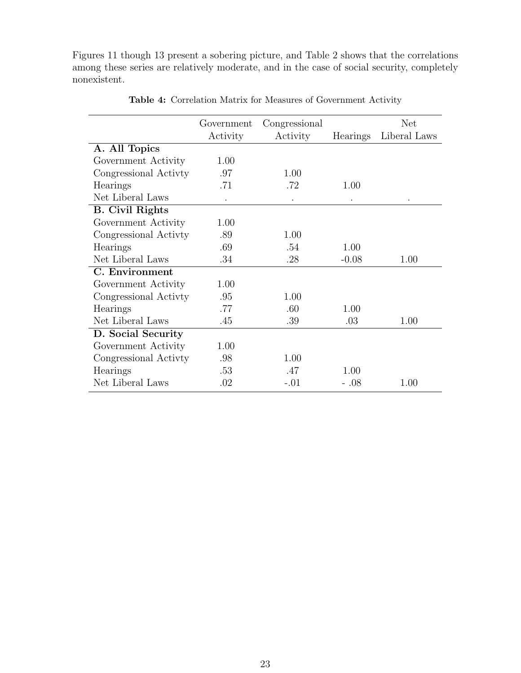Figures 11 though 13 present a sobering picture, and Table 2 shows that the correlations among these series are relatively moderate, and in the case of social security, completely nonexistent.

|                        | Government<br>Activity | Congressional<br>Activity | Hearings | <b>Net</b><br>Liberal Laws |
|------------------------|------------------------|---------------------------|----------|----------------------------|
| A. All Topics          |                        |                           |          |                            |
| Government Activity    | 1.00                   |                           |          |                            |
| Congressional Activity | .97                    | 1.00                      |          |                            |
| Hearings               | .71                    | .72                       | 1.00     |                            |
| Net Liberal Laws       |                        |                           |          |                            |
| <b>B.</b> Civil Rights |                        |                           |          |                            |
| Government Activity    | 1.00                   |                           |          |                            |
| Congressional Activity | .89                    | 1.00                      |          |                            |
| Hearings               | .69                    | .54                       | 1.00     |                            |
| Net Liberal Laws       | .34                    | .28                       | $-0.08$  | 1.00                       |
| C. Environment         |                        |                           |          |                            |
| Government Activity    | 1.00                   |                           |          |                            |
| Congressional Activty  | .95                    | 1.00                      |          |                            |
| Hearings               | .77                    | .60                       | 1.00     |                            |
| Net Liberal Laws       | .45                    | .39                       | .03      | 1.00                       |
| D. Social Security     |                        |                           |          |                            |
| Government Activity    | 1.00                   |                           |          |                            |
| Congressional Activty  | .98                    | 1.00                      |          |                            |
| Hearings               | .53                    | .47                       | 1.00     |                            |
| Net Liberal Laws       | .02                    | $-.01$                    | $-.08$   | 1.00                       |

Table 4: Correlation Matrix for Measures of Government Activity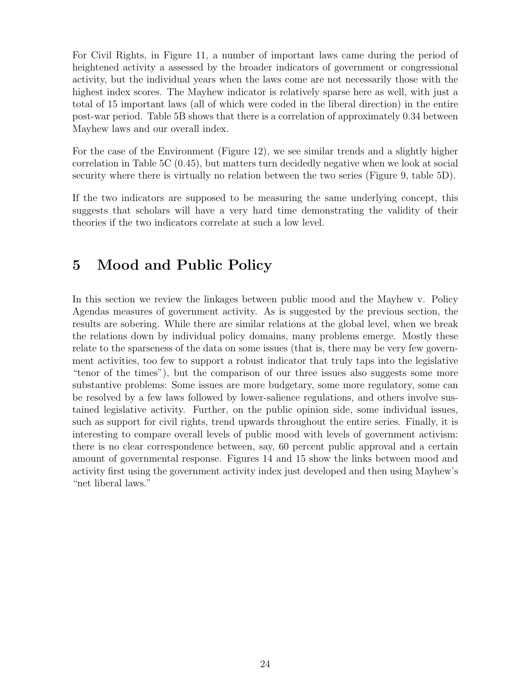For Civil Rights, in Figure 11, a number of important laws came during the period of heightened activity a assessed by the broader indicators of government or congressional activity, but the individual years when the laws come are not necessarily those with the highest index scores. The Mayhew indicator is relatively sparse here as well, with just a total of 15 important laws (all of which were coded in the liberal direction) in the entire post-war period. Table 5B shows that there is a correlation of approximately 0.34 between Mayhew laws and our overall index.

For the case of the Environment (Figure 12), we see similar trends and a slightly higher correlation in Table 5C (0.45), but matters turn decidedly negative when we look at social security where there is virtually no relation between the two series (Figure 9, table 5D).

If the two indicators are supposed to be measuring the same underlying concept, this suggests that scholars will have a very hard time demonstrating the validity of their theories if the two indicators correlate at such a low level.

## 5 Mood and Public Policy

In this section we review the linkages between public mood and the Mayhew v. Policy Agendas measures of government activity. As is suggested by the previous section, the results are sobering. While there are similar relations at the global level, when we break the relations down by individual policy domains, many problems emerge. Mostly these relate to the sparseness of the data on some issues (that is, there may be very few government activities, too few to support a robust indicator that truly taps into the legislative "tenor of the times"), but the comparison of our three issues also suggests some more substantive problems: Some issues are more budgetary, some more regulatory, some can be resolved by a few laws followed by lower-salience regulations, and others involve sustained legislative activity. Further, on the public opinion side, some individual issues, such as support for civil rights, trend upwards throughout the entire series. Finally, it is interesting to compare overall levels of public mood with levels of government activism: there is no clear correspondence between, say, 60 percent public approval and a certain amount of governmental response. Figures 14 and 15 show the links between mood and activity first using the government activity index just developed and then using Mayhew's "net liberal laws."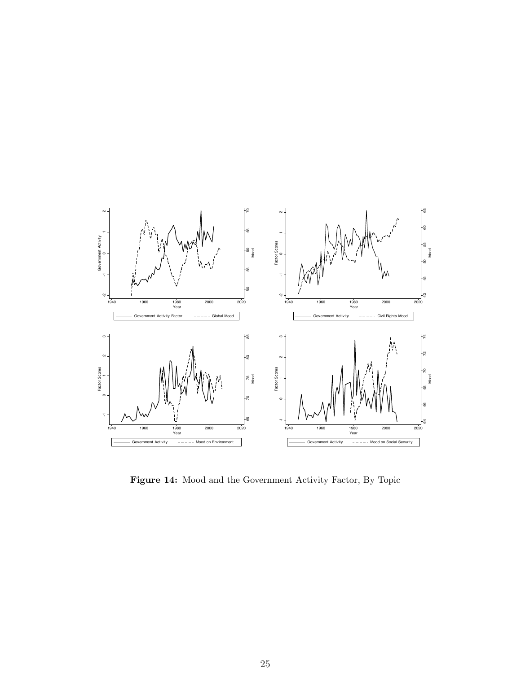

Figure 14: Mood and the Government Activity Factor, By Topic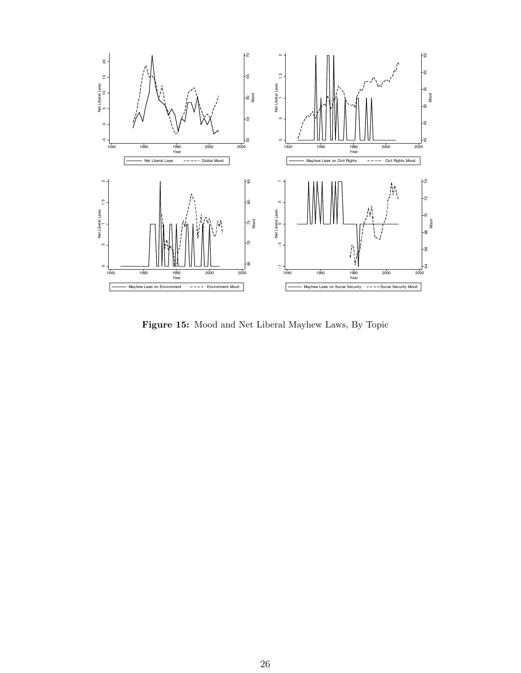

Figure 15: Mood and Net Liberal Mayhew Laws, By Topic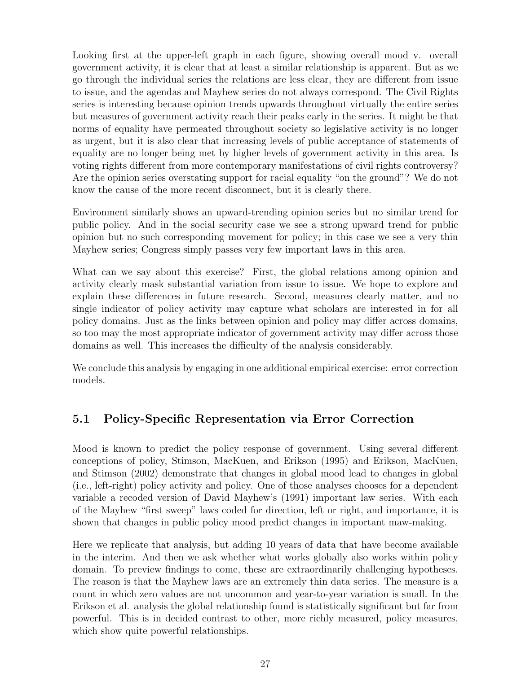Looking first at the upper-left graph in each figure, showing overall mood v. overall government activity, it is clear that at least a similar relationship is apparent. But as we go through the individual series the relations are less clear, they are different from issue to issue, and the agendas and Mayhew series do not always correspond. The Civil Rights series is interesting because opinion trends upwards throughout virtually the entire series but measures of government activity reach their peaks early in the series. It might be that norms of equality have permeated throughout society so legislative activity is no longer as urgent, but it is also clear that increasing levels of public acceptance of statements of equality are no longer being met by higher levels of government activity in this area. Is voting rights different from more contemporary manifestations of civil rights controversy? Are the opinion series overstating support for racial equality "on the ground"? We do not know the cause of the more recent disconnect, but it is clearly there.

Environment similarly shows an upward-trending opinion series but no similar trend for public policy. And in the social security case we see a strong upward trend for public opinion but no such corresponding movement for policy; in this case we see a very thin Mayhew series; Congress simply passes very few important laws in this area.

What can we say about this exercise? First, the global relations among opinion and activity clearly mask substantial variation from issue to issue. We hope to explore and explain these differences in future research. Second, measures clearly matter, and no single indicator of policy activity may capture what scholars are interested in for all policy domains. Just as the links between opinion and policy may differ across domains, so too may the most appropriate indicator of government activity may differ across those domains as well. This increases the difficulty of the analysis considerably.

We conclude this analysis by engaging in one additional empirical exercise: error correction models.

### 5.1 Policy-Specific Representation via Error Correction

Mood is known to predict the policy response of government. Using several different conceptions of policy, Stimson, MacKuen, and Erikson (1995) and Erikson, MacKuen, and Stimson (2002) demonstrate that changes in global mood lead to changes in global (i.e., left-right) policy activity and policy. One of those analyses chooses for a dependent variable a recoded version of David Mayhew's (1991) important law series. With each of the Mayhew "first sweep" laws coded for direction, left or right, and importance, it is shown that changes in public policy mood predict changes in important maw-making.

Here we replicate that analysis, but adding 10 years of data that have become available in the interim. And then we ask whether what works globally also works within policy domain. To preview findings to come, these are extraordinarily challenging hypotheses. The reason is that the Mayhew laws are an extremely thin data series. The measure is a count in which zero values are not uncommon and year-to-year variation is small. In the Erikson et al. analysis the global relationship found is statistically significant but far from powerful. This is in decided contrast to other, more richly measured, policy measures, which show quite powerful relationships.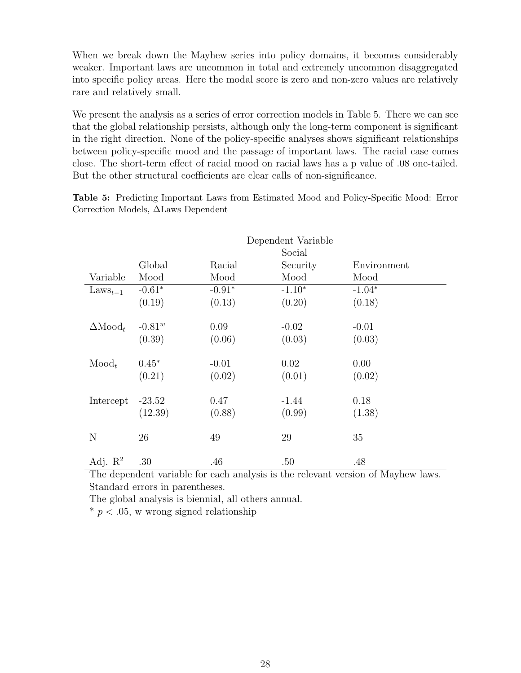When we break down the Mayhew series into policy domains, it becomes considerably weaker. Important laws are uncommon in total and extremely uncommon disaggregated into specific policy areas. Here the modal score is zero and non-zero values are relatively rare and relatively small.

We present the analysis as a series of error correction models in Table 5. There we can see that the global relationship persists, although only the long-term component is significant in the right direction. None of the policy-specific analyses shows significant relationships between policy-specific mood and the passage of important laws. The racial case comes close. The short-term effect of racial mood on racial laws has a p value of .08 one-tailed. But the other structural coefficients are clear calls of non-significance.

Table 5: Predicting Important Laws from Estimated Mood and Policy-Specific Mood: Error Correction Models, ∆Laws Dependent

|                       | Dependent Variable |          |          |             |  |  |
|-----------------------|--------------------|----------|----------|-------------|--|--|
|                       |                    | Social   |          |             |  |  |
|                       | Global             | Racial   | Security | Environment |  |  |
| Variable              | Mood               | Mood     | Mood     | Mood        |  |  |
| $\text{Laws}_{t-1}$   | $-0.61*$           | $-0.91*$ | $-1.10*$ | $-1.04*$    |  |  |
|                       | (0.19)             | (0.13)   | (0.20)   | (0.18)      |  |  |
|                       |                    |          |          |             |  |  |
| $\Delta \text{Mod}_t$ | $-0.81^{w}$        | 0.09     | $-0.02$  | $-0.01$     |  |  |
|                       | (0.39)             | (0.06)   | (0.03)   | (0.03)      |  |  |
|                       |                    |          |          |             |  |  |
| $\text{Mod}_t$        | $0.45*$            | $-0.01$  | 0.02     | 0.00        |  |  |
|                       | (0.21)             | (0.02)   | (0.01)   | (0.02)      |  |  |
|                       |                    |          |          |             |  |  |
| Intercept             | $-23.52$           | 0.47     | $-1.44$  | 0.18        |  |  |
|                       | (12.39)            | (0.88)   | (0.99)   | (1.38)      |  |  |
|                       |                    |          |          |             |  |  |
| N                     | 26                 | 49       | 29       | 35          |  |  |
|                       |                    |          |          |             |  |  |
| Adj. $\mathbb{R}^2$   | .30                | .46      | .50      | .48         |  |  |

The dependent variable for each analysis is the relevant version of Mayhew laws. Standard errors in parentheses.

The global analysis is biennial, all others annual.

 $* p < .05$ , w wrong signed relationship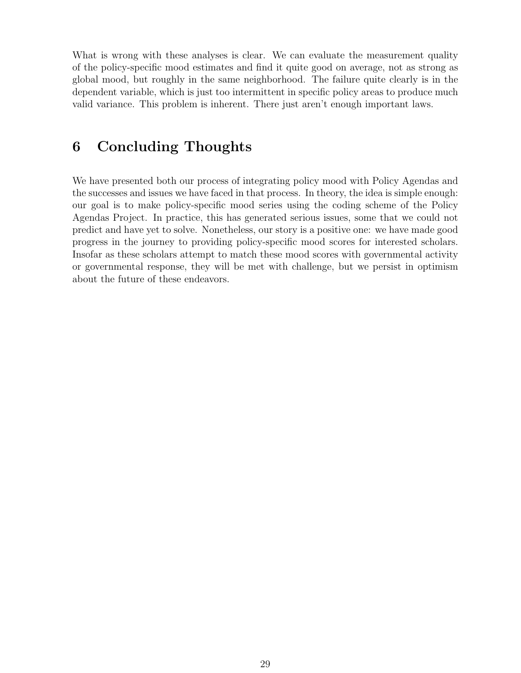What is wrong with these analyses is clear. We can evaluate the measurement quality of the policy-specific mood estimates and find it quite good on average, not as strong as global mood, but roughly in the same neighborhood. The failure quite clearly is in the dependent variable, which is just too intermittent in specific policy areas to produce much valid variance. This problem is inherent. There just aren't enough important laws.

### 6 Concluding Thoughts

We have presented both our process of integrating policy mood with Policy Agendas and the successes and issues we have faced in that process. In theory, the idea is simple enough: our goal is to make policy-specific mood series using the coding scheme of the Policy Agendas Project. In practice, this has generated serious issues, some that we could not predict and have yet to solve. Nonetheless, our story is a positive one: we have made good progress in the journey to providing policy-specific mood scores for interested scholars. Insofar as these scholars attempt to match these mood scores with governmental activity or governmental response, they will be met with challenge, but we persist in optimism about the future of these endeavors.